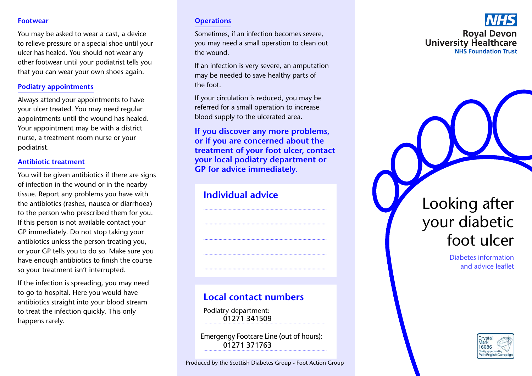#### **Footwear**

You may be asked to wear a cast, a device to relieve pressure or a special shoe until your ulcer has healed. You should not wear any other footwear until your podiatrist tells you that you can wear your own shoes again.

### **Podiatry appointments**

Always attend your appointments to have your ulcer treated. You may need regular appointments until the wound has healed. Your appointment may be with a district nurse, a treatment room nurse or your podiatrist.

#### **Antibiotic treatment**

You will be given antibiotics if there are signs of infection in the wound or in the nearby tissue. Report any problems you have with the antibiotics (rashes, nausea or diarrhoea) to the person who prescribed them for you. If this person is not available contact your GP immediately. Do not stop taking your antibiotics unless the person treating you, or your GP tells you to do so. Make sure you have enough antibiotics to finish the course so your treatment isn't interrupted.

If the infection is spreading, you may need to go to hospital. Here you would have antibiotics straight into your blood stream to treat the infection quickly. This only happens rarely.

### **Operations**

Sometimes, if an infection becomes severe, you may need a small operation to clean out the wound.

If an infection is very severe, an amputation may be needed to save healthy parts of the foot

If your circulation is reduced, you may be referred for a small operation to increase blood supply to the ulcerated area.

If you discover any more problems. or if you are concerned about the treatment of your foot ulcer, contact your local podiatry department or **GP** for advice immediately.

# **Individual advice**

# **Local contact numbers**

Podiatry department: 01271341509

Emergengy Footcare Line (out of hours): 01271 371763

# **Roval Devon University Healthcare NHS Foundation Trust**

Looking after your diabetic foot ulcer

> **Diabetes information** and advice leaflet